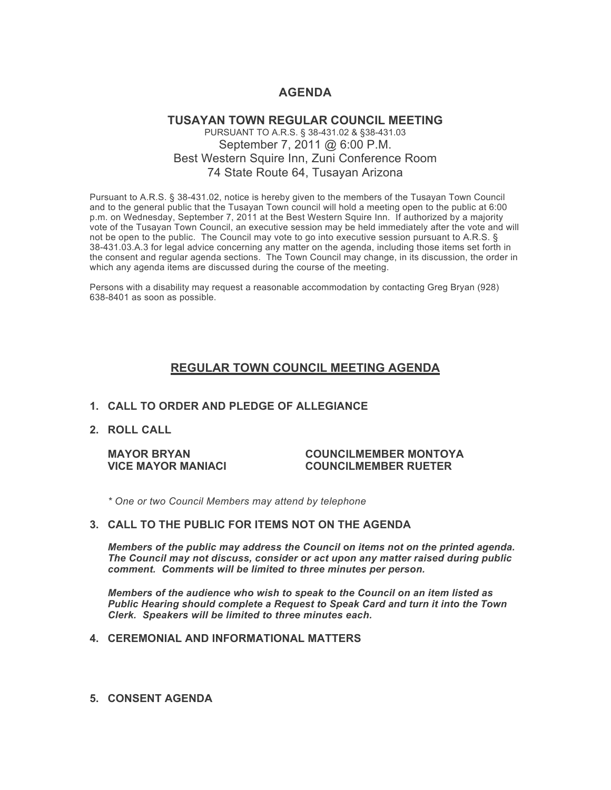# **AGENDA**

### **TUSAYAN TOWN REGULAR COUNCIL MEETING** PURSUANT TO A.R.S. § 38-431.02 & §38-431.03 September 7, 2011 @ 6:00 P.M. Best Western Squire Inn, Zuni Conference Room 74 State Route 64, Tusayan Arizona

Pursuant to A.R.S. § 38-431.02, notice is hereby given to the members of the Tusayan Town Council and to the general public that the Tusayan Town council will hold a meeting open to the public at 6:00 p.m. on Wednesday, September 7, 2011 at the Best Western Squire Inn. If authorized by a majority vote of the Tusayan Town Council, an executive session may be held immediately after the vote and will not be open to the public. The Council may vote to go into executive session pursuant to A.R.S. § 38-431.03.A.3 for legal advice concerning any matter on the agenda, including those items set forth in the consent and regular agenda sections. The Town Council may change, in its discussion, the order in which any agenda items are discussed during the course of the meeting.

Persons with a disability may request a reasonable accommodation by contacting Greg Bryan (928) 638-8401 as soon as possible.

# **REGULAR TOWN COUNCIL MEETING AGENDA**

#### **1. CALL TO ORDER AND PLEDGE OF ALLEGIANCE**

**2. ROLL CALL**

#### **MAYOR BRYAN COUNCILMEMBER MONTOYA VICE MAYOR MANIACI COUNCILMEMBER RUETER**

*\* One or two Council Members may attend by telephone*

#### **3. CALL TO THE PUBLIC FOR ITEMS NOT ON THE AGENDA**

*Members of the public may address the Council* **o***n items not on the printed agenda. The Council may not discuss, consider or act upon any matter raised during public comment. Comments will be limited to three minutes per person.*

*Members of the audience who wish to speak to the Council on an item listed as Public Hearing should complete a Request to Speak Card and turn it into the Town Clerk. Speakers will be limited to three minutes each.*

#### **4. CEREMONIAL AND INFORMATIONAL MATTERS**

**5. CONSENT AGENDA**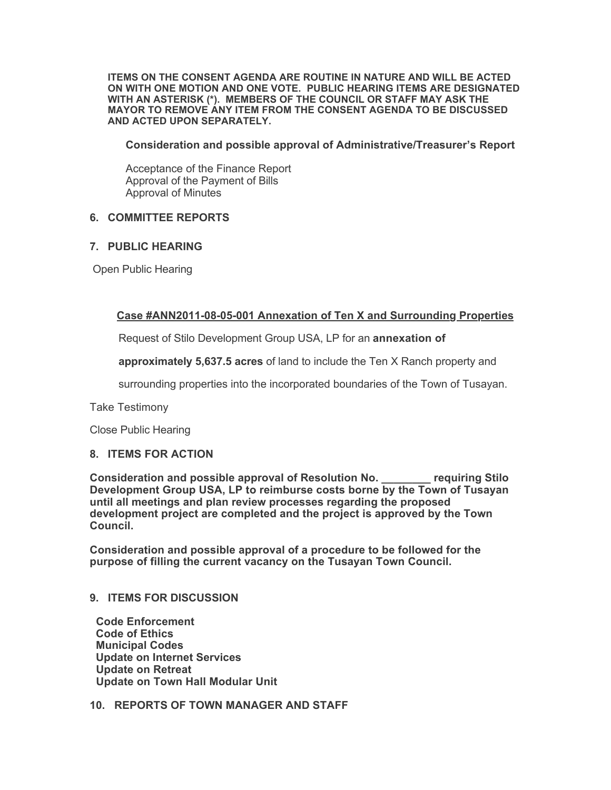**ITEMS ON THE CONSENT AGENDA ARE ROUTINE IN NATURE AND WILL BE ACTED ON WITH ONE MOTION AND ONE VOTE. PUBLIC HEARING ITEMS ARE DESIGNATED WITH AN ASTERISK (\*). MEMBERS OF THE COUNCIL OR STAFF MAY ASK THE MAYOR TO REMOVE ANY ITEM FROM THE CONSENT AGENDA TO BE DISCUSSED AND ACTED UPON SEPARATELY.**

**Consideration and possible approval of Administrative/Treasurer's Report**

Acceptance of the Finance Report Approval of the Payment of Bills Approval of Minutes

## **6. COMMITTEE REPORTS**

## **7. PUBLIC HEARING**

Open Public Hearing

## **Case #ANN2011-08-05-001 Annexation of Ten X and Surrounding Properties**

Request of Stilo Development Group USA, LP for an **annexation of** 

**approximately 5,637.5 acres** of land to include the Ten X Ranch property and

surrounding properties into the incorporated boundaries of the Town of Tusayan.

Take Testimony

Close Public Hearing

#### **8. ITEMS FOR ACTION**

**Consideration and possible approval of Resolution No. \_\_\_\_\_\_\_\_ requiring Stilo Development Group USA, LP to reimburse costs borne by the Town of Tusayan until all meetings and plan review processes regarding the proposed development project are completed and the project is approved by the Town Council.**

**Consideration and possible approval of a procedure to be followed for the purpose of filling the current vacancy on the Tusayan Town Council.**

#### **9. ITEMS FOR DISCUSSION**

 **Code Enforcement Code of Ethics Municipal Codes Update on Internet Services Update on Retreat Update on Town Hall Modular Unit**

**10. REPORTS OF TOWN MANAGER AND STAFF**